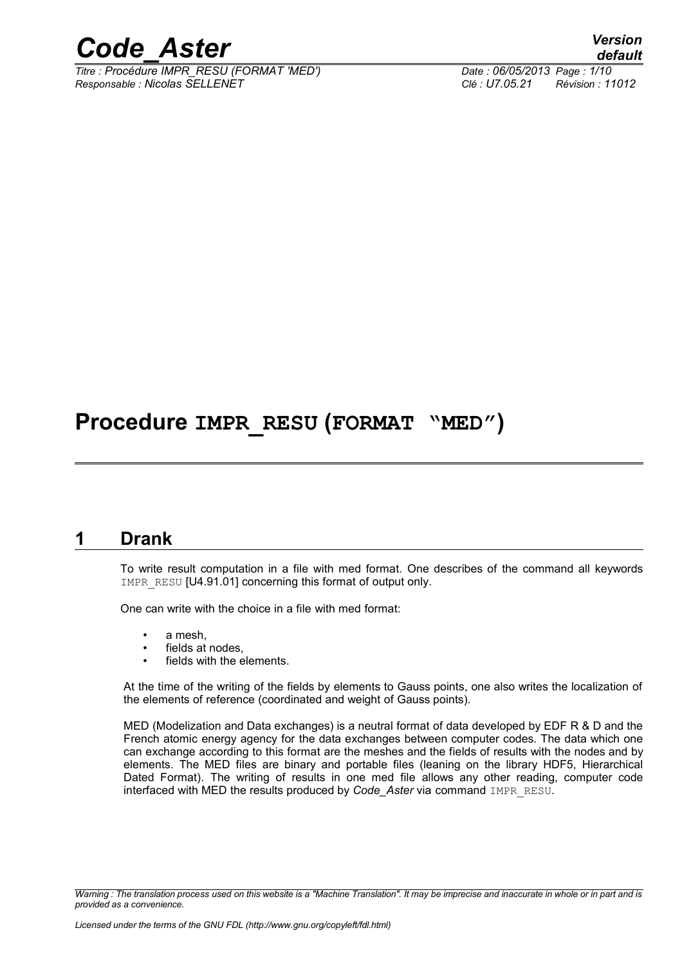

*Titre : Procédure IMPR\_RESU (FORMAT 'MED') Date : 06/05/2013 Page : 1/10 Responsable : Nicolas SELLENET Clé : U7.05.21 Révision : 11012*

*default*

# **Procedure IMPR\_RESU (FORMAT "MED")**

## **1 Drank**

To write result computation in a file with med format. One describes of the command all keywords IMPR\_RESU [U4.91.01] concerning this format of output only.

One can write with the choice in a file with med format:

- a mesh.
- fields at nodes.
- fields with the elements.

At the time of the writing of the fields by elements to Gauss points, one also writes the localization of the elements of reference (coordinated and weight of Gauss points).

MED (Modelization and Data exchanges) is a neutral format of data developed by EDF R & D and the French atomic energy agency for the data exchanges between computer codes. The data which one can exchange according to this format are the meshes and the fields of results with the nodes and by elements. The MED files are binary and portable files (leaning on the library HDF5, Hierarchical Dated Format). The writing of results in one med file allows any other reading, computer code interfaced with MED the results produced by *Code\_Aster* via command IMPR\_RESU.

*Warning : The translation process used on this website is a "Machine Translation". It may be imprecise and inaccurate in whole or in part and is provided as a convenience.*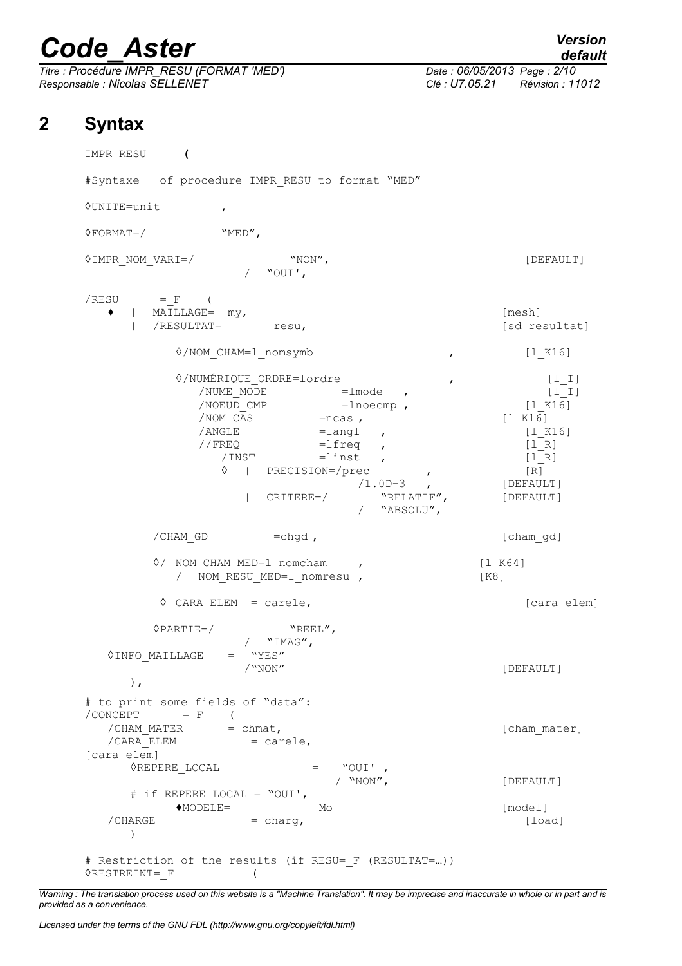*Titre : Procédure IMPR\_RESU (FORMAT 'MED') Date : 06/05/2013 Page : 2/10 Responsable : Nicolas SELLENET Clé : U7.05.21 Révision : 11012*

# **2 Syntax**

IMPR\_RESU **(** #Syntaxe of procedure IMPR\_RESU to format "MED" ◊UNITE=unit ,  $\Diamond$ FORMAT=/ "MED", ◊IMPR\_NOM\_VARI=/ "NON", [DEFAULT] / "OUI',  $/$ RESU = F (  $\bullet$  | MAILLAGE=  $mv$ ,  $[mesh]$ | /RESULTAT= resu, [sd\_resultat]  $\Diamond/$ NOM CHAM=1 nomsymb , [lK16] <p>0/NUMÉRIQUE ORDRE=lordre</p>\n<p>1\_I</p>\n<p>7 NUMÉ NODE =1 mode</p>\n<p>7 NUME MODE =1 mode</p>  $/$ NUME MODE  $=$ lmode , /NOEUD CMP =lnoecmp , [l\_K16]  $/ NOM CAS$  =ncas , [l K16]  $/ANGLE$  = langl ,  $[1 K16]$  $//$  FREQ =lfreq ,  $[1_R]$ /INST =linst , [l\_R] ◊ | PRECISION=/prec , [R] [DEFAULT] | CRITERE=/ "RELATIF", [DEFAULT] / "ABSOLU", /CHAM\_GD =chgd , [cham\_gd] ◊/ NOM\_CHAM\_MED=l\_nomcham , [l\_K64] / NOM RESU MED=1 nomresu , [K8] ◊ CARA\_ELEM = carele, [cara\_elem] ◊PARTIE=/ "REEL",  $\begin{array}{c}\n\sqrt{11} \text{MAG}^{\prime\prime}\text{,} \\
\text{MMS}^{\prime\prime} \text{,} \n\end{array}$  $\sqrt{N}$ INFO\_MAILLAGE =  $\sqrt{N}$ NON" [DEFAULT] ), # to print some fields of "data":  $\angle$  CONCEPT =  $_F$  ( /CHAM\_MATER  $=$  chmat,  $[$ cham\_mater]  $/CARA$  ELEM = carele, [cara elem]  $\sqrt{\text{REPERE}}$ LOCAL = "OUI', [DEFAULT] # if REPERE\_LOCAL = "OUI', ♦MODELE= Mo [model]  $/$ CHARGE  $=$  charg,  $[load]$ ) # Restriction of the results (if RESU= F (RESULTAT=...))  $\Diamond$ RESTREINT= F (

*Warning : The translation process used on this website is a "Machine Translation". It may be imprecise and inaccurate in whole or in part and is provided as a convenience.*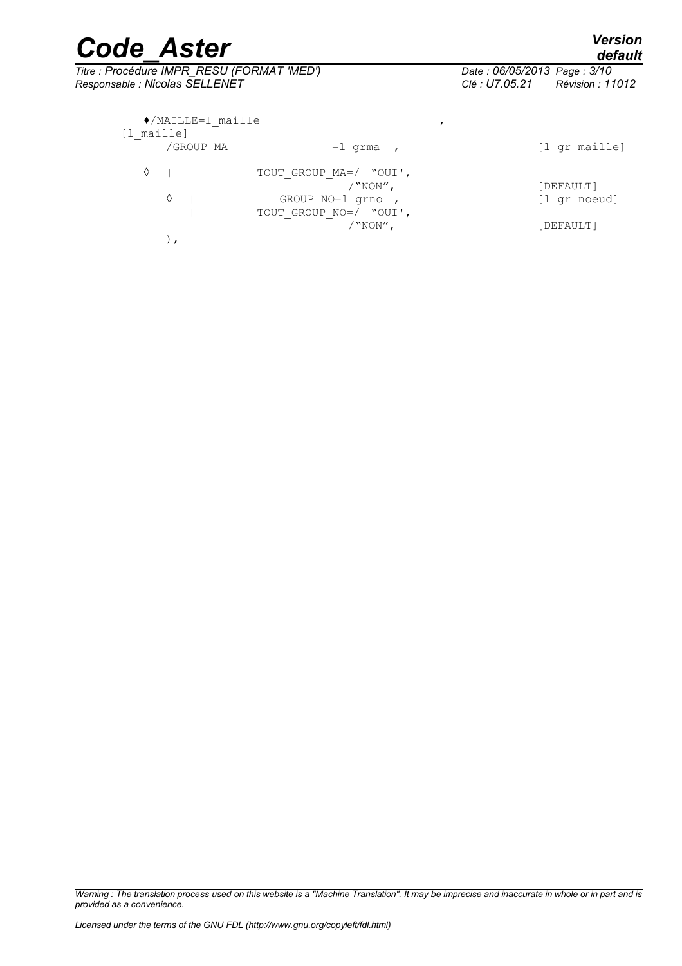*Titre : Procédure IMPR\_RESU (FORMAT 'MED') Date : 06/05/2013 Page : 3/10 Responsable : Nicolas SELLENET Clé : U7.05.21 Révision : 11012*

|            | $\bullet$ /MAILLE=1 maille |                        |               |
|------------|----------------------------|------------------------|---------------|
| [1 maille] |                            |                        |               |
|            | /GROUP MA                  | =1 grma                | [l gr maille] |
|            |                            | TOUT GROUP MA=/ "OUI', |               |
|            |                            | $/$ "NON",             | [DEFAULT]     |
|            | ♦                          | GROUP NO=1 grno        | [1 gr noeud]  |
|            |                            | TOUT GROUP NO=/ "OUI', |               |
|            |                            | $/$ "NON",             | [DEFAULT]     |
|            |                            |                        |               |

*Warning : The translation process used on this website is a "Machine Translation". It may be imprecise and inaccurate in whole or in part and is provided as a convenience.*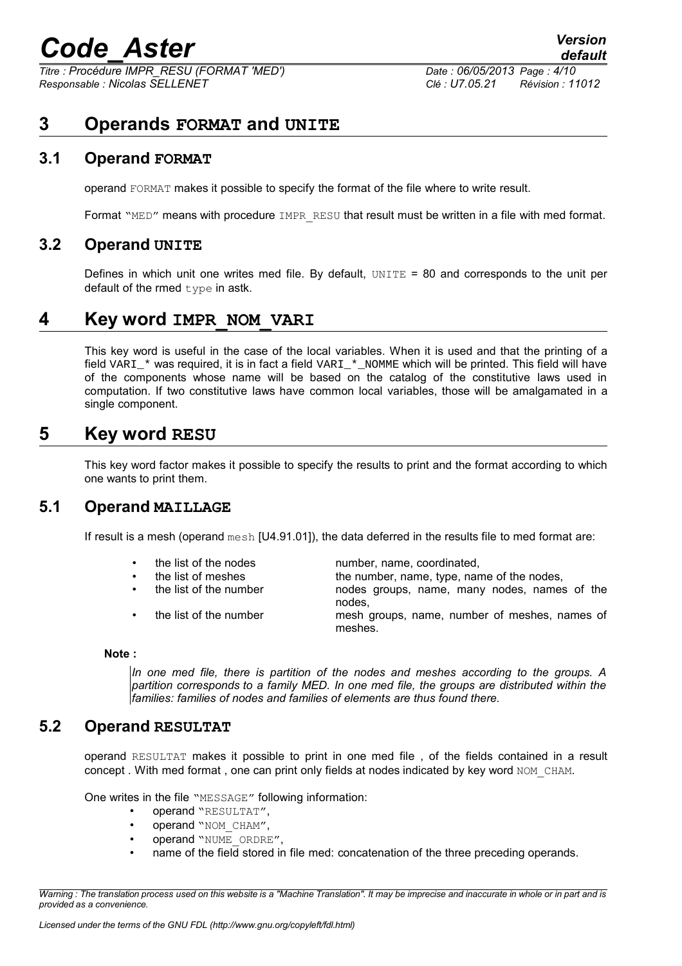*Titre : Procédure IMPR\_RESU (FORMAT 'MED') Date : 06/05/2013 Page : 4/10 Responsable : Nicolas SELLENET Clé : U7.05.21 Révision : 11012*

## **3 Operands FORMAT and UNITE**

## **3.1 Operand FORMAT**

operand FORMAT makes it possible to specify the format of the file where to write result.

Format "MED" means with procedure IMPR RESU that result must be written in a file with med format.

#### **3.2 Operand UNITE**

Defines in which unit one writes med file. By default,  $UNITE = 80$  and corresponds to the unit per default of the rmed  $t$  vpe in astk.

## **4 Key word IMPR\_NOM\_VARI**

This key word is useful in the case of the local variables. When it is used and that the printing of a field VARI\_\* was required, it is in fact a field VARI\_\*\_NOMME which will be printed. This field will have of the components whose name will be based on the catalog of the constitutive laws used in computation. If two constitutive laws have common local variables, those will be amalgamated in a single component.

# **5 Key word RESU**

This key word factor makes it possible to specify the results to print and the format according to which one wants to print them.

### **5.1 Operand MAILLAGE**

If result is a mesh (operand mesh [U4.91.01]), the data deferred in the results file to med format are:

- the list of the nodes number, name, coordinated, the list of meshes the number, name, type, name of the nodes,
	- the list of the number nodes groups, name, many nodes, names of the nodes,
	- the list of the number mesh groups, name, number of meshes, names of meshes.

#### **Note :**

*In one med file, there is partition of the nodes and meshes according to the groups. A partition corresponds to a family MED. In one med file, the groups are distributed within the families: families of nodes and families of elements are thus found there.*

### **5.2 Operand RESULTAT**

operand RESULTAT makes it possible to print in one med file , of the fields contained in a result concept . With med format, one can print only fields at nodes indicated by key word NOM\_CHAM.

One writes in the file "MESSAGE" following information:

- operand "RESULTAT",
- operand "NOM\_CHAM",
- operand "NUME\_ORDRE",
- name of the field stored in file med: concatenation of the three preceding operands.

*Warning : The translation process used on this website is a "Machine Translation". It may be imprecise and inaccurate in whole or in part and is provided as a convenience.*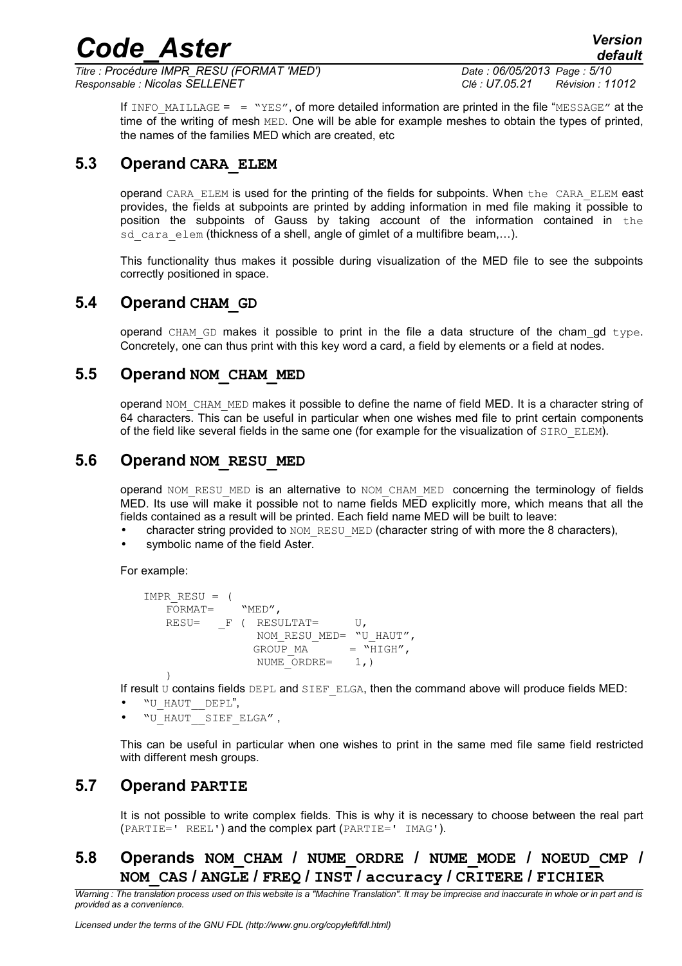*Titre : Procédure IMPR\_RESU (FORMAT 'MED') Date : 06/05/2013 Page : 5/10 Responsable : Nicolas SELLENET Clé : U7.05.21 Révision : 11012*

*default*

If INFO MAILLAGE =  $=$  "YES", of more detailed information are printed in the file "MESSAGE" at the time of the writing of mesh MED. One will be able for example meshes to obtain the types of printed, the names of the families MED which are created, etc

## **5.3 Operand CARA\_ELEM**

operand CARA\_ELEM is used for the printing of the fields for subpoints. When the CARA\_ELEM east provides, the fields at subpoints are printed by adding information in med file making it possible to position the subpoints of Gauss by taking account of the information contained in the sd cara elem (thickness of a shell, angle of gimlet of a multifibre beam,...).

This functionality thus makes it possible during visualization of the MED file to see the subpoints correctly positioned in space.

## **5.4 Operand CHAM\_GD**

operand CHAM GD makes it possible to print in the file a data structure of the cham\_gd type. Concretely, one can thus print with this key word a card, a field by elements or a field at nodes.

## **5.5 Operand NOM\_CHAM\_MED**

operand NOM CHAM MED makes it possible to define the name of field MED. It is a character string of 64 characters. This can be useful in particular when one wishes med file to print certain components of the field like several fields in the same one (for example for the visualization of SIRO ELEM).

## **5.6 Operand NOM\_RESU\_MED**

operand NOM\_RESU\_MED is an alternative to NOM\_CHAM\_MED concerning the terminology of fields MED. Its use will make it possible not to name fields MED explicitly more, which means that all the fields contained as a result will be printed. Each field name MED will be built to leave:

- character string provided to NOM\_RESU\_MED (character string of with more the 8 characters),
- symbolic name of the field Aster.

#### For example:

```
IMPR RESU = (FORMAT= "MED",
   RESU= F ( RESULTAT= U,
                 NOM_RESU_MED= "U_HAUT",<br>GROUP MA = "HIGH",GROUPMA =NUME ORDRE= 1,)
   )
```
If result  $U$  contains fields  $DEPL$  and  $SIEF$  ELGA, then the command above will produce fields MED:

- "U\_HAUT\_\_DEPL",
- "U\_HAUT\_\_SIEF\_ELGA" ,

This can be useful in particular when one wishes to print in the same med file same field restricted with different mesh groups.

## **5.7 Operand PARTIE**

It is not possible to write complex fields. This is why it is necessary to choose between the real part (PARTIE=' REEL') and the complex part (PARTIE=' IMAG').

## **5.8 Operands NOM\_CHAM / NUME\_ORDRE / NUME\_MODE / NOEUD\_CMP / NOM\_CAS / ANGLE / FREQ / INST / accuracy / CRITERE / FICHIER**

*Warning : The translation process used on this website is a "Machine Translation". It may be imprecise and inaccurate in whole or in part and is provided as a convenience.*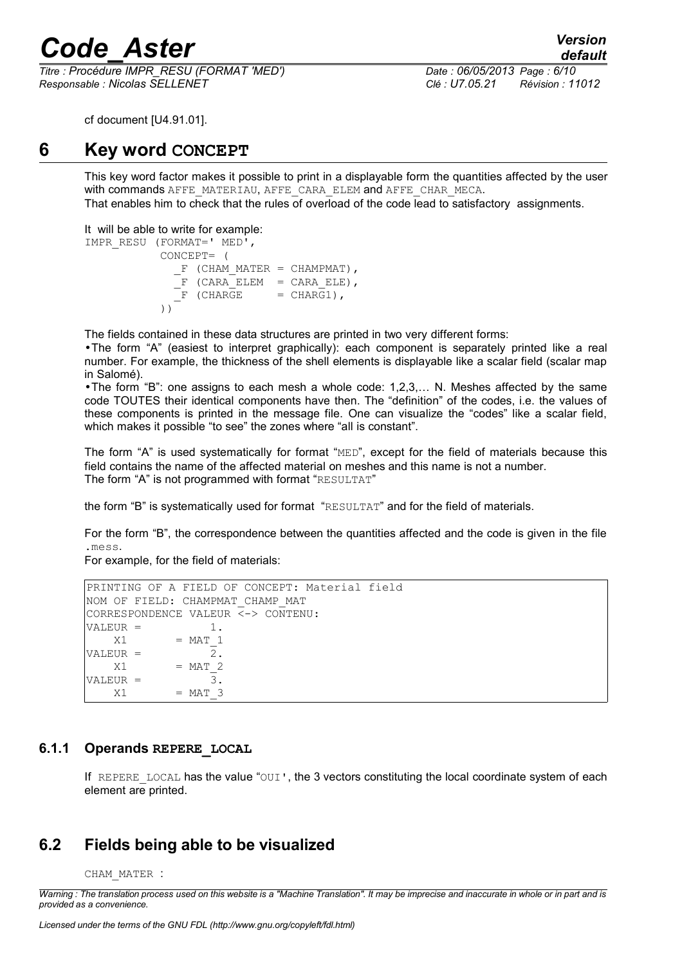*Titre : Procédure IMPR\_RESU (FORMAT 'MED') Date : 06/05/2013 Page : 6/10 Responsable : Nicolas SELLENET Clé : U7.05.21 Révision : 11012*

*default*

cf document [U4.91.01].

# **6 Key word CONCEPT**

This key word factor makes it possible to print in a displayable form the quantities affected by the user with commands AFFE\_MATERIAU, AFFE\_CARA\_ELEM and AFFE\_CHAR\_MECA. That enables him to check that the rules of overload of the code lead to satisfactory assignments.

It will be able to write for example:

IMPR\_RESU (FORMAT=' MED', CONCEPT= (  $F$  (CHAM MATER = CHAMPMAT),  $\overline{F}$  (CARA $\overline{ELEM}$  = CARA $\overline{ELE}$ ),  $F$  (CHARGE = CHARG1), ))

The fields contained in these data structures are printed in two very different forms:

•The form "A" (easiest to interpret graphically): each component is separately printed like a real number. For example, the thickness of the shell elements is displayable like a scalar field (scalar map in Salomé).

•The form "B": one assigns to each mesh a whole code: 1,2,3,… N. Meshes affected by the same code TOUTES their identical components have then. The "definition" of the codes, i.e. the values of these components is printed in the message file. One can visualize the "codes" like a scalar field, which makes it possible "to see" the zones where "all is constant".

The form "A" is used systematically for format " $MED$ ", except for the field of materials because this field contains the name of the affected material on meshes and this name is not a number. The form "A" is not programmed with format "RESULTAT"

the form "B" is systematically used for format "RESULTAT" and for the field of materials.

For the form "B", the correspondence between the quantities affected and the code is given in the file .mess.

For example, for the field of materials:

```
PRINTING OF A FIELD OF CONCEPT: Material field
NOM OF FIELD: CHAMPMAT_CHAMP_MAT 
CORRESPONDENCE VALEUR <-> CONTENU:
VALEUR = 1.X1 = \text{MAT}_1<br>
EUR = \frac{1}{2}VALEUR =X1 = MAT 2
VALEUR = 3.
   X1 = MAT 3
```
### **6.1.1 Operands REPERE\_LOCAL**

If REPERE LOCAL has the value " $OUT$ , the 3 vectors constituting the local coordinate system of each element are printed.

## **6.2 Fields being able to be visualized**

CHAM\_MATER :

*Warning : The translation process used on this website is a "Machine Translation". It may be imprecise and inaccurate in whole or in part and is provided as a convenience.*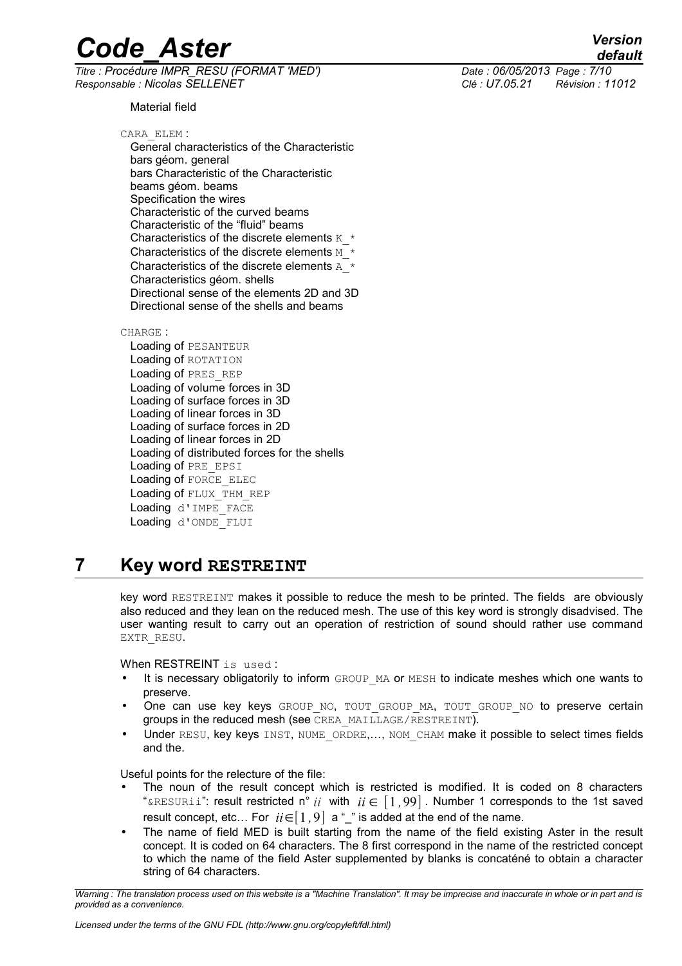*Titre : Procédure IMPR\_RESU (FORMAT 'MED') Date : 06/05/2013 Page : 7/10 Responsable : Nicolas SELLENET Clé : U7.05.21 Révision : 11012*

*default*

Material field

CARA\_ELEM : General characteristics of the Characteristic bars géom. general bars Characteristic of the Characteristic beams géom. beams Specification the wires Characteristic of the curved beams Characteristic of the "fluid" beams Characteristics of the discrete elements  $K^*$ Characteristics of the discrete elements M  $*$  Characteristics of the discrete elements A\_\* Characteristics géom. shells Directional sense of the elements 2D and 3D Directional sense of the shells and beams

CHARGE :

 Loading of PESANTEUR Loading of ROTATION Loading of PRES\_REP Loading of volume forces in 3D Loading of surface forces in 3D Loading of linear forces in 3D Loading of surface forces in 2D Loading of linear forces in 2D Loading of distributed forces for the shells Loading of PRE\_EPSI Loading of FORCE\_ELEC Loading of FLUX\_THM\_REP Loading d'IMPE FACE Loading d'ONDE\_FLUI

# **7 Key word RESTREINT**

key word RESTREINT makes it possible to reduce the mesh to be printed. The fields are obviously also reduced and they lean on the reduced mesh. The use of this key word is strongly disadvised. The user wanting result to carry out an operation of restriction of sound should rather use command EXTR\_RESU.

When RESTREINT is used:

- It is necessary obligatorily to inform GROUP MA or MESH to indicate meshes which one wants to preserve.
- One can use key keys GROUP NO, TOUT GROUP MA, TOUT GROUP NO to preserve certain groups in the reduced mesh (see CREA\_MAILLAGE/RESTREINT).
- Under RESU, key keys INST, NUME ORDRE,..., NOM CHAM make it possible to select times fields and the.

Useful points for the relecture of the file:

- The noun of the result concept which is restricted is modified. It is coded on 8 characters " $\kappa$ RESURii": result restricted n° *ii* with  $i \in [1, 99]$ . Number 1 corresponds to the 1st saved result concept, etc... For  $ii \in [1, 9]$  a "\_" is added at the end of the name.
- The name of field MED is built starting from the name of the field existing Aster in the result concept. It is coded on 64 characters. The 8 first correspond in the name of the restricted concept to which the name of the field Aster supplemented by blanks is concaténé to obtain a character string of 64 characters.

*Warning : The translation process used on this website is a "Machine Translation". It may be imprecise and inaccurate in whole or in part and is provided as a convenience.*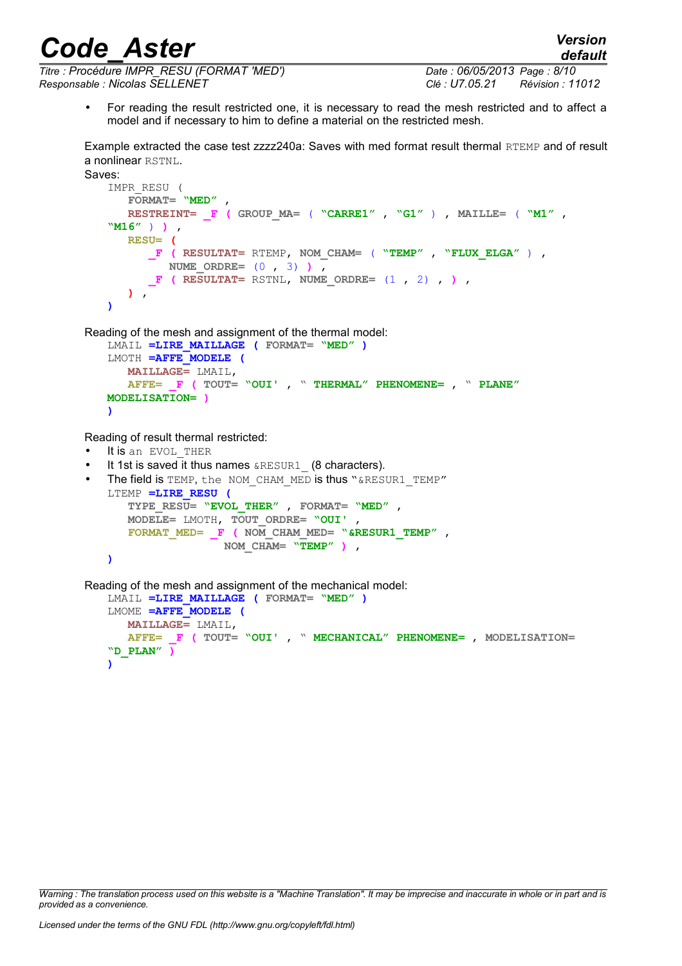*Titre : Procédure IMPR\_RESU (FORMAT 'MED') Date : 06/05/2013 Page : 8/10 Responsable : Nicolas SELLENET Clé : U7.05.21 Révision : 11012*

• For reading the result restricted one, it is necessary to read the mesh restricted and to affect a model and if necessary to him to define a material on the restricted mesh.

Example extracted the case test zzzz240a: Saves with med format result thermal RTEMP and of result a nonlinear RSTNL.

```
Saves:
```

```
IMPR_RESU (
    FORMAT= "MED" , 
    RESTREINT= _F ( GROUP_MA= ( "CARRE1" , "G1" ) , MAILLE= ( "M1" ,
"M16" ) ) , 
    RESU= (
       _F ( RESULTAT= RTEMP, NOM_CHAM= ( "TEMP" , "FLUX_ELGA" ) , 
         NUME_ORDRE= (0 , 3) ) ,
       _F ( RESULTAT= RSTNL, NUME_ORDRE= (1 , 2) , ) ,
    ) ,
)
```
Reading of the mesh and assignment of the thermal model:

```
LMAIL =LIRE_MAILLAGE ( FORMAT= "MED" )
LMOTH =AFFE_MODELE (
   MAILLAGE= LMAIL, 
   AFFE= _F ( TOUT= "OUI' , " THERMAL" PHENOMENE= , " PLANE"
MODELISATION= )
)
```
Reading of result thermal restricted:

```
It is an EVOL THER
```
It 1st is saved it thus names &RESUR1 (8 characters).

```
• The field is TEMP, the NOM CHAM MED is thus "&RESUR1_TEMP"
   LTEMP =LIRE_RESU (
       TYPE_RESU= "EVOL_THER" , FORMAT= "MED" , 
       MODELE= LMOTH, TOUT_ORDRE= "OUI' , 
       FORMAT_MED= _F ( NOM_CHAM_MED= "&RESUR1_TEMP" , 
                      NOM_CHAM= "TEMP" ) ,
   )
```

```
Reading of the mesh and assignment of the mechanical model:
   LMAIL =LIRE_MAILLAGE ( FORMAT= "MED" )
   LMOME =AFFE_MODELE (
       MAILLAGE= LMAIL, 
       AFFE= _F ( TOUT= "OUI' , " MECHANICAL" PHENOMENE= , MODELISATION=
   "D_PLAN" )
   )
```
*Warning : The translation process used on this website is a "Machine Translation". It may be imprecise and inaccurate in whole or in part and is provided as a convenience.*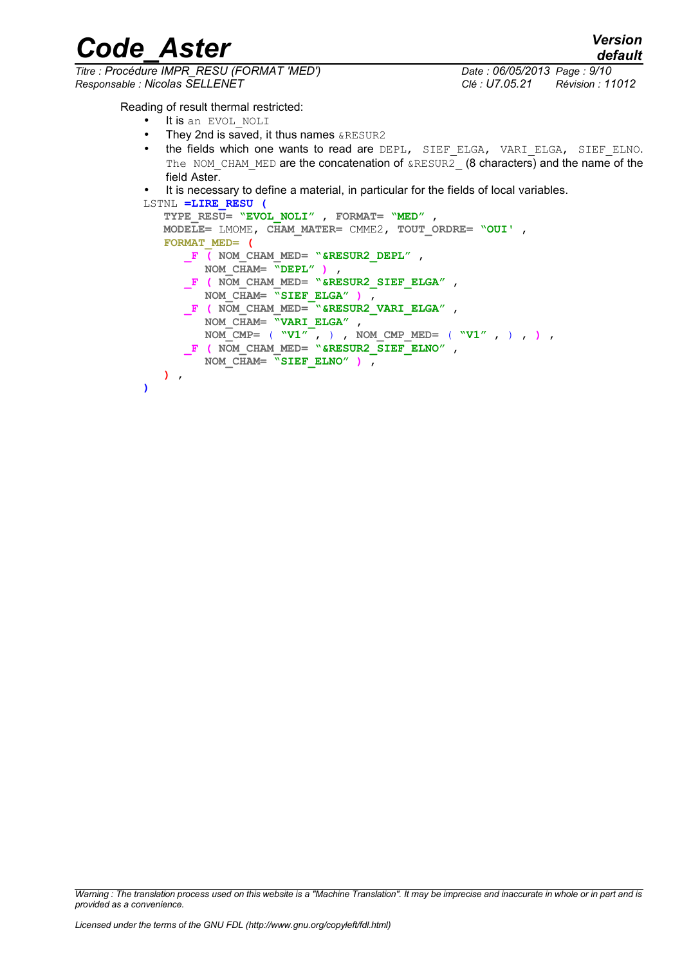*default*

# *Code\_Aster Version Titre : Procédure IMPR\_RESU (FORMAT 'MED') Date : 06/05/2013 Page : 9/10*

**)**

*Responsable : Nicolas SELLENET Clé : U7.05.21 Révision : 11012*

Reading of result thermal restricted:

- It is an EVOL NOLI
- They 2nd is saved, it thus names **&RESUR2**
- the fields which one wants to read are DEPL, SIEF ELGA, VARI ELGA, SIEF ELNO. The NOM CHAM MED are the concatenation of  $\&RESUR2$  (8 characters) and the name of the field Aster.
- It is necessary to define a material, in particular for the fields of local variables.

```
LSTNL =LIRE_RESU (
    TYPE_RESU= "EVOL_NOLI" , FORMAT= "MED" , 
   MODELE= LMOME, CHAM_MATER= CMME2, TOUT_ORDRE= "OUI' , 
    FORMAT_MED= (
       _F ( NOM_CHAM_MED= "&RESUR2_DEPL" , 
         NOM_CHAM= "DEPL" ) ,
       _F ( NOM_CHAM_MED= "&RESUR2_SIEF_ELGA" , 
         NOM_CHAM= "SIEF_ELGA" ) ,
       _F ( NOM_CHAM_MED= "&RESUR2_VARI_ELGA" , 
         NOM_CHAM= "VARI_ELGA" , 
         NOM_CMP= ( "V1" , ) , NOM_CMP_MED= ( "V1" , ) , ) ,
       _F ( NOM_CHAM_MED= "&RESUR2_SIEF_ELNO" , 
         NOM_CHAM= "SIEF_ELNO" ) ,
    ) ,
```
*Warning : The translation process used on this website is a "Machine Translation". It may be imprecise and inaccurate in whole or in part and is provided as a convenience.*